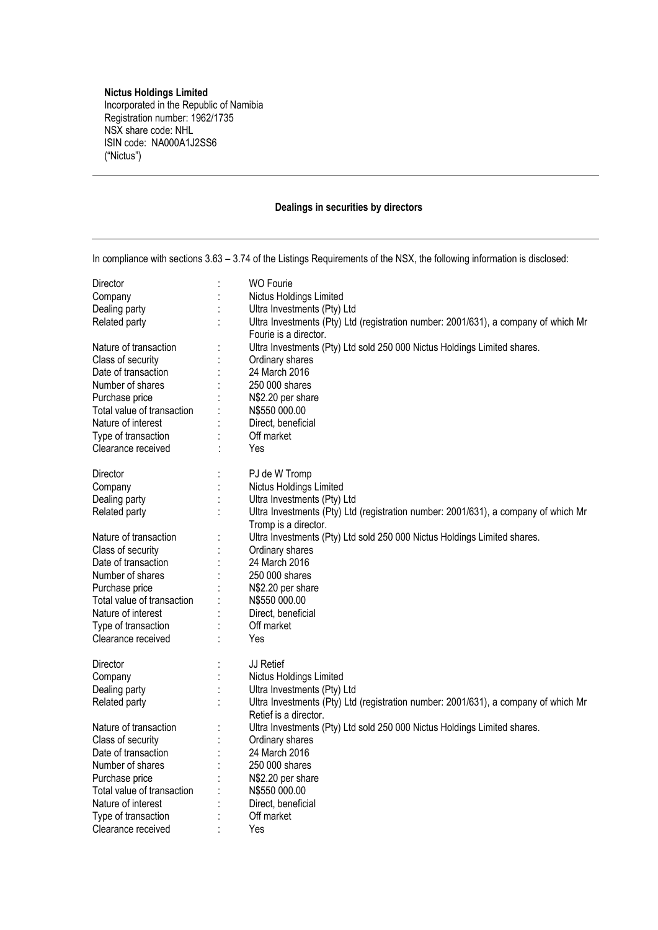## **Nictus Holdings Limited**

Incorporated in the Republic of Namibia Registration number: 1962/1735 NSX share code: NHL ISIN code: NA000A1J2SS6 ("Nictus")

## **Dealings in securities by directors**

| In compliance with sections 3.63 - 3.74 of the Listings Requirements of the NSX, the following information is disclosed: |  |                                                                                    |
|--------------------------------------------------------------------------------------------------------------------------|--|------------------------------------------------------------------------------------|
| Director                                                                                                                 |  | <b>WO Fourie</b>                                                                   |
| Company                                                                                                                  |  | Nictus Holdings Limited                                                            |
| Dealing party                                                                                                            |  | Ultra Investments (Pty) Ltd                                                        |
| Related party                                                                                                            |  | Ultra Investments (Pty) Ltd (registration number: 2001/631), a company of which Mr |
|                                                                                                                          |  | Fourie is a director.                                                              |
| Nature of transaction                                                                                                    |  | Ultra Investments (Pty) Ltd sold 250 000 Nictus Holdings Limited shares.           |
| Class of security                                                                                                        |  | Ordinary shares                                                                    |
| Date of transaction                                                                                                      |  | 24 March 2016                                                                      |
| Number of shares                                                                                                         |  | 250 000 shares                                                                     |
| Purchase price                                                                                                           |  | N\$2.20 per share                                                                  |
| Total value of transaction                                                                                               |  | N\$550 000.00                                                                      |
| Nature of interest                                                                                                       |  | Direct, beneficial                                                                 |
| Type of transaction                                                                                                      |  | Off market                                                                         |
| Clearance received                                                                                                       |  | Yes                                                                                |
| Director                                                                                                                 |  | PJ de W Tromp                                                                      |
| Company                                                                                                                  |  | Nictus Holdings Limited                                                            |
| Dealing party                                                                                                            |  | Ultra Investments (Pty) Ltd                                                        |
| Related party                                                                                                            |  | Ultra Investments (Pty) Ltd (registration number: 2001/631), a company of which Mr |
|                                                                                                                          |  | Tromp is a director.                                                               |
| Nature of transaction                                                                                                    |  | Ultra Investments (Pty) Ltd sold 250 000 Nictus Holdings Limited shares.           |
| Class of security                                                                                                        |  | Ordinary shares                                                                    |
| Date of transaction                                                                                                      |  | 24 March 2016                                                                      |
| Number of shares                                                                                                         |  | 250 000 shares                                                                     |
| Purchase price                                                                                                           |  | N\$2.20 per share                                                                  |
| Total value of transaction                                                                                               |  | N\$550 000.00                                                                      |
| Nature of interest                                                                                                       |  | Direct, beneficial                                                                 |
| Type of transaction                                                                                                      |  | Off market                                                                         |
| Clearance received                                                                                                       |  | Yes                                                                                |
| Director                                                                                                                 |  | JJ Retief                                                                          |
| Company                                                                                                                  |  | Nictus Holdings Limited                                                            |
| Dealing party                                                                                                            |  | Ultra Investments (Pty) Ltd                                                        |
| Related party                                                                                                            |  | Ultra Investments (Pty) Ltd (registration number: 2001/631), a company of which Mr |
|                                                                                                                          |  | Retief is a director.                                                              |
| Nature of transaction                                                                                                    |  | Ultra Investments (Pty) Ltd sold 250 000 Nictus Holdings Limited shares.           |
| Class of security                                                                                                        |  | Ordinary shares                                                                    |
| Date of transaction                                                                                                      |  | 24 March 2016                                                                      |
| Number of shares                                                                                                         |  | 250 000 shares                                                                     |
| Purchase price                                                                                                           |  | N\$2.20 per share                                                                  |
| Total value of transaction                                                                                               |  | N\$550 000.00                                                                      |
| Nature of interest                                                                                                       |  | Direct, beneficial                                                                 |
| Type of transaction                                                                                                      |  | Off market                                                                         |
| Clearance received                                                                                                       |  | Yes                                                                                |